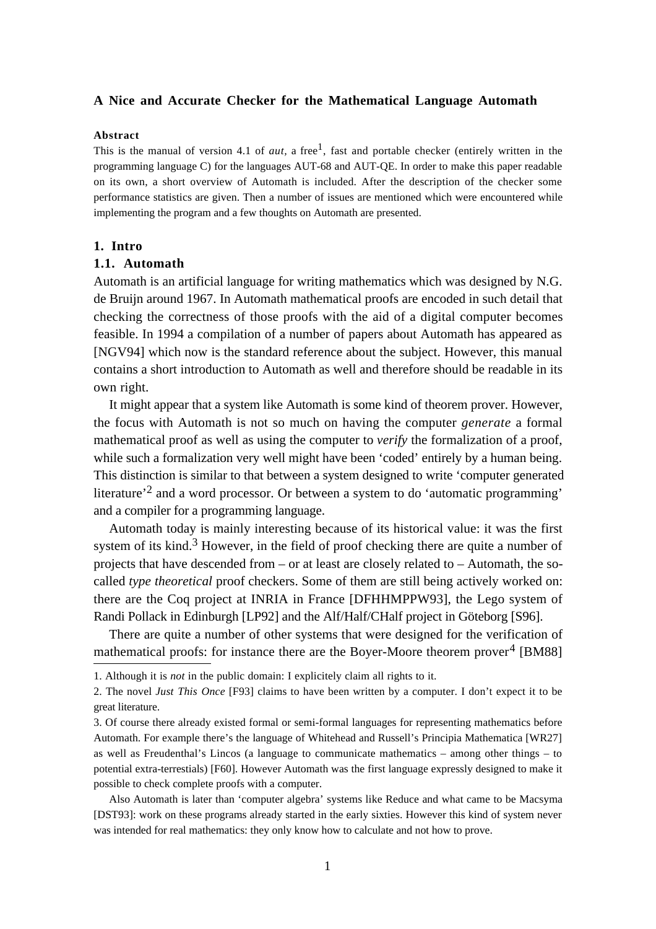### **A Nice and Accurate Checker for the Mathematical Language Automath**

#### **Abstract**

This is the manual of version 4.1 of *aut*, a free<sup>1</sup>, fast and portable checker (entirely written in the programming language C) for the languages AUT-68 and AUT-QE. In order to make this paper readable on its own, a short overview of Automath is included. After the description of the checker some performance statistics are given. Then a number of issues are mentioned which were encountered while implementing the program and a few thoughts on Automath are presented.

#### **1. Intro**

### **1.1. Automath**

Automath is an artificial language for writing mathematics which was designed by N.G. de Bruijn around 1967. In Automath mathematical proofs are encoded in such detail that checking the correctness of those proofs with the aid of a digital computer becomes feasible. In 1994 a compilation of a number of papers about Automath has appeared as [NGV94] which now is the standard reference about the subject. However, this manual contains a short introduction to Automath as well and therefore should be readable in its own right.

It might appear that a system like Automath is some kind of theorem prover. However, the focus with Automath is not so much on having the computer *generate* a formal mathematical proof as well as using the computer to *verify* the formalization of a proof, while such a formalization very well might have been 'coded' entirely by a human being. This distinction is similar to that between a system designed to write 'computer generated literature'2 and a word processor. Or between a system to do 'automatic programming' and a compiler for a programming language.

Automath today is mainly interesting because of its historical value: it was the first system of its kind.<sup>3</sup> However, in the field of proof checking there are quite a number of projects that have descended from – or at least are closely related to – Automath, the socalled *type theoretical* proof checkers. Some of them are still being actively worked on: there are the Coq project at INRIA in France [DFHHMPPW93], the Lego system of Randi Pollack in Edinburgh [LP92] and the Alf/Half/CHalf project in Göteborg [S96].

There are quite a number of other systems that were designed for the verification of mathematical proofs: for instance there are the Boyer-Moore theorem prover<sup>4</sup> [BM88]

Also Automath is later than 'computer algebra' systems like Reduce and what came to be Macsyma [DST93]: work on these programs already started in the early sixties. However this kind of system never was intended for real mathematics: they only know how to calculate and not how to prove.

<sup>1.</sup> Although it is *not* in the public domain: I explicitely claim all rights to it.

<sup>2.</sup> The novel *Just This Once* [F93] claims to have been written by a computer. I don't expect it to be great literature.

<sup>3.</sup> Of course there already existed formal or semi-formal languages for representing mathematics before Automath. For example there's the language of Whitehead and Russell's Principia Mathematica [WR27] as well as Freudenthal's Lincos (a language to communicate mathematics – among other things – to potential extra-terrestials) [F60]. However Automath was the first language expressly designed to make it possible to check complete proofs with a computer.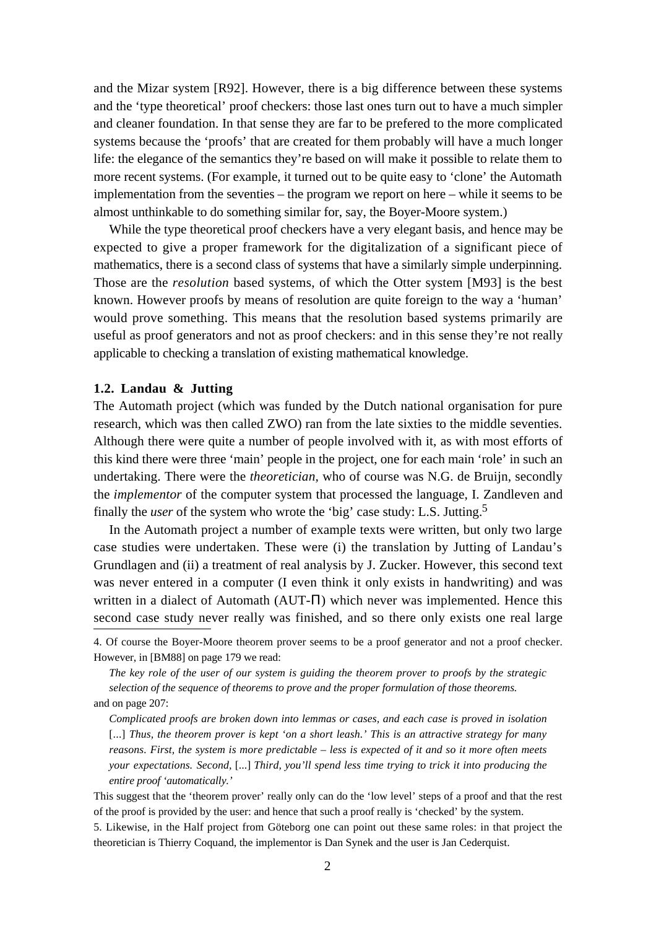and the Mizar system [R92]. However, there is a big difference between these systems and the 'type theoretical' proof checkers: those last ones turn out to have a much simpler and cleaner foundation. In that sense they are far to be prefered to the more complicated systems because the 'proofs' that are created for them probably will have a much longer life: the elegance of the semantics they're based on will make it possible to relate them to more recent systems. (For example, it turned out to be quite easy to 'clone' the Automath implementation from the seventies – the program we report on here – while it seems to be almost unthinkable to do something similar for, say, the Boyer-Moore system.)

While the type theoretical proof checkers have a very elegant basis, and hence may be expected to give a proper framework for the digitalization of a significant piece of mathematics, there is a second class of systems that have a similarly simple underpinning. Those are the *resolution* based systems, of which the Otter system [M93] is the best known. However proofs by means of resolution are quite foreign to the way a 'human' would prove something. This means that the resolution based systems primarily are useful as proof generators and not as proof checkers: and in this sense they're not really applicable to checking a translation of existing mathematical knowledge.

## **1.2. Landau & Jutting**

The Automath project (which was funded by the Dutch national organisation for pure research, which was then called ZWO) ran from the late sixties to the middle seventies. Although there were quite a number of people involved with it, as with most efforts of this kind there were three 'main' people in the project, one for each main 'role' in such an undertaking. There were the *theoretician,* who of course was N.G. de Bruijn, secondly the *implementor* of the computer system that processed the language, I. Zandleven and finally the *user* of the system who wrote the 'big' case study: L.S. Jutting.5

In the Automath project a number of example texts were written, but only two large case studies were undertaken. These were (i) the translation by Jutting of Landau's Grundlagen and (ii) a treatment of real analysis by J. Zucker. However, this second text was never entered in a computer (I even think it only exists in handwriting) and was written in a dialect of Automath (AUT-Π) which never was implemented. Hence this second case study never really was finished, and so there only exists one real large

4. Of course the Boyer-Moore theorem prover seems to be a proof generator and not a proof checker. However, in [BM88] on page 179 we read:

*The key role of the user of our system is guiding the theorem prover to proofs by the strategic selection of the sequence of theorems to prove and the proper formulation of those theorems.* and on page 207:

*Complicated proofs are broken down into lemmas or cases, and each case is proved in isolation* [...] Thus, the theorem prover is kept 'on a short leash.' This is an attractive strategy for many *reasons. First, the system is more predictable – less is expected of it and so it more often meets your expectations. Second,* [...] *Third, you'll spend less time trying to trick it into producing the entire proof 'automatically.'*

This suggest that the 'theorem prover' really only can do the 'low level' steps of a proof and that the rest of the proof is provided by the user: and hence that such a proof really is 'checked' by the system.

<sup>5.</sup> Likewise, in the Half project from Göteborg one can point out these same roles: in that project the theoretician is Thierry Coquand, the implementor is Dan Synek and the user is Jan Cederquist.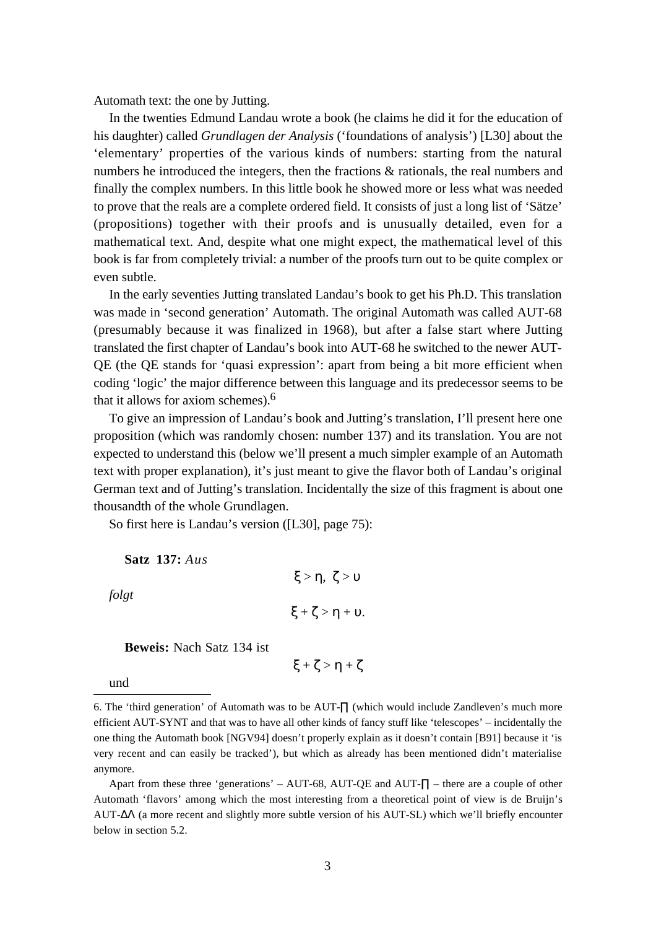Automath text: the one by Jutting.

In the twenties Edmund Landau wrote a book (he claims he did it for the education of his daughter) called *Grundlagen der Analysis* ('foundations of analysis') [L30] about the 'elementary' properties of the various kinds of numbers: starting from the natural numbers he introduced the integers, then the fractions & rationals, the real numbers and finally the complex numbers. In this little book he showed more or less what was needed to prove that the reals are a complete ordered field. It consists of just a long list of 'Sätze' (propositions) together with their proofs and is unusually detailed, even for a mathematical text. And, despite what one might expect, the mathematical level of this book is far from completely trivial: a number of the proofs turn out to be quite complex or even subtle.

In the early seventies Jutting translated Landau's book to get his Ph.D. This translation was made in 'second generation' Automath. The original Automath was called AUT-68 (presumably because it was finalized in 1968), but after a false start where Jutting translated the first chapter of Landau's book into AUT-68 he switched to the newer AUT-QE (the QE stands for 'quasi expression': apart from being a bit more efficient when coding 'logic' the major difference between this language and its predecessor seems to be that it allows for axiom schemes).6

To give an impression of Landau's book and Jutting's translation, I'll present here one proposition (which was randomly chosen: number 137) and its translation. You are not expected to understand this (below we'll present a much simpler example of an Automath text with proper explanation), it's just meant to give the flavor both of Landau's original German text and of Jutting's translation. Incidentally the size of this fragment is about one thousandth of the whole Grundlagen.

So first here is Landau's version ([L30], page 75):

**Satz 137:** *Aus*

*folgt*

```
\xi + \zeta > \eta + \upsilon.
```
ξ > η, ζ > υ

**Beweis:** Nach Satz 134 ist

 $\xi + \zeta > \eta + \zeta$ 

und

Apart from these three 'generations' – AUT-68, AUT-QE and AUT- $\Pi$  – there are a couple of other Automath 'flavors' among which the most interesting from a theoretical point of view is de Bruijn's AUT-∆Λ (a more recent and slightly more subtle version of his AUT-SL) which we'll briefly encounter below in section 5.2.

<sup>6.</sup> The 'third generation' of Automath was to be AUT-∏ (which would include Zandleven's much more efficient AUT-SYNT and that was to have all other kinds of fancy stuff like 'telescopes' – incidentally the one thing the Automath book [NGV94] doesn't properly explain as it doesn't contain [B91] because it 'is very recent and can easily be tracked'), but which as already has been mentioned didn't materialise anymore.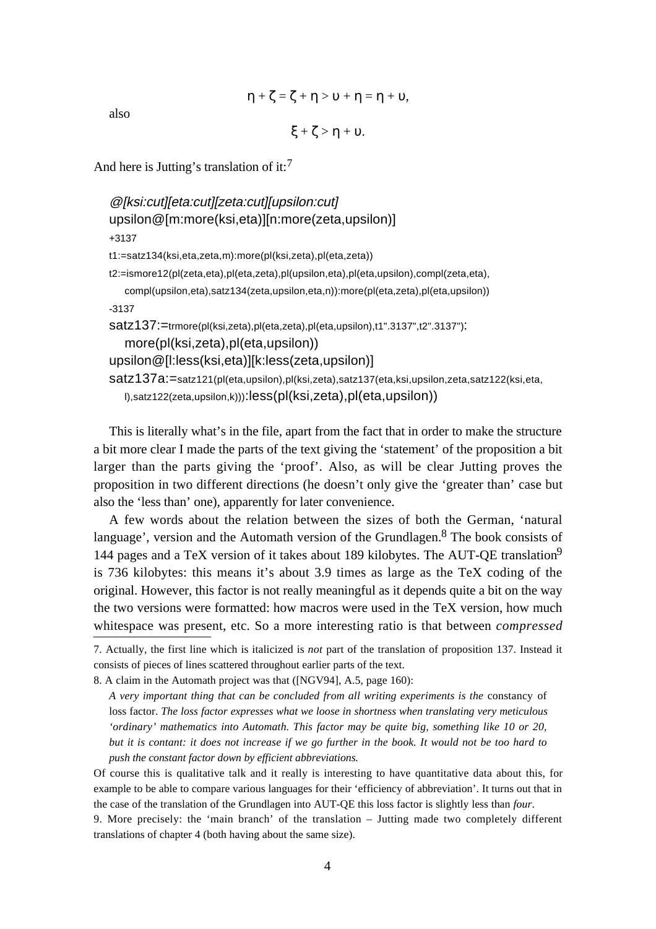$$
\eta+\zeta=\zeta+\eta>\upsilon+\eta=\eta+\upsilon,
$$

also

```
\xi + \zeta > \eta + \upsilon.
```
And here is Jutting's translation of it:<sup>7</sup>

```
@[ksi:cut][eta:cut][zeta:cut][upsilon:cut]
upsilon@[m:more(ksi,eta)][n:more(zeta,upsilon)]
+3137
t1:=satz134(ksi,eta,zeta,m):more(pl(ksi,zeta),pl(eta,zeta))
t2:=ismore12(pl(zeta,eta),pl(eta,zeta),pl(upsilon,eta),pl(eta,upsilon),compl(zeta,eta),
   compl(upsilon,eta),satz134(zeta,upsilon,eta,n)):more(pl(eta,zeta),pl(eta,upsilon))
-3137
satz137:=trmore(pl(ksi,zeta),pl(eta,zeta),pl(eta,upsilon),t1".3137",t2".3137"):
   more(pl(ksi,zeta),pl(eta,upsilon))
upsilon@[l:less(ksi,eta)][k:less(zeta,upsilon)]
satz137a:=satz121(pl(eta,upsilon),pl(ksi,zeta),satz137(eta,ksi,upsilon,zeta,satz122(ksi,eta,
   l),satz122(zeta,upsilon,k))):less(pl(ksi,zeta),pl(eta,upsilon))
```
This is literally what's in the file, apart from the fact that in order to make the structure a bit more clear I made the parts of the text giving the 'statement' of the proposition a bit larger than the parts giving the 'proof'. Also, as will be clear Jutting proves the proposition in two different directions (he doesn't only give the 'greater than' case but also the 'less than' one), apparently for later convenience.

A few words about the relation between the sizes of both the German, 'natural language', version and the Automath version of the Grundlagen.<sup>8</sup> The book consists of 144 pages and a TeX version of it takes about 189 kilobytes. The AUT-QE translation9 is 736 kilobytes: this means it's about 3.9 times as large as the TeX coding of the original. However, this factor is not really meaningful as it depends quite a bit on the way the two versions were formatted: how macros were used in the TeX version, how much whitespace was present, etc. So a more interesting ratio is that between *compressed*

<sup>7.</sup> Actually, the first line which is italicized is *not* part of the translation of proposition 137. Instead it consists of pieces of lines scattered throughout earlier parts of the text.

<sup>8.</sup> A claim in the Automath project was that ([NGV94], A.5, page 160):

*A very important thing that can be concluded from all writing experiments is the* constancy of loss factor. *The loss factor expresses what we loose in shortness when translating very meticulous 'ordinary' mathematics into Automath. This factor may be quite big, something like 10 or 20, but it is contant: it does not increase if we go further in the book. It would not be too hard to push the constant factor down by efficient abbreviations.*

Of course this is qualitative talk and it really is interesting to have quantitative data about this, for example to be able to compare various languages for their 'efficiency of abbreviation'. It turns out that in the case of the translation of the Grundlagen into AUT-QE this loss factor is slightly less than *four*.

<sup>9.</sup> More precisely: the 'main branch' of the translation – Jutting made two completely different translations of chapter 4 (both having about the same size).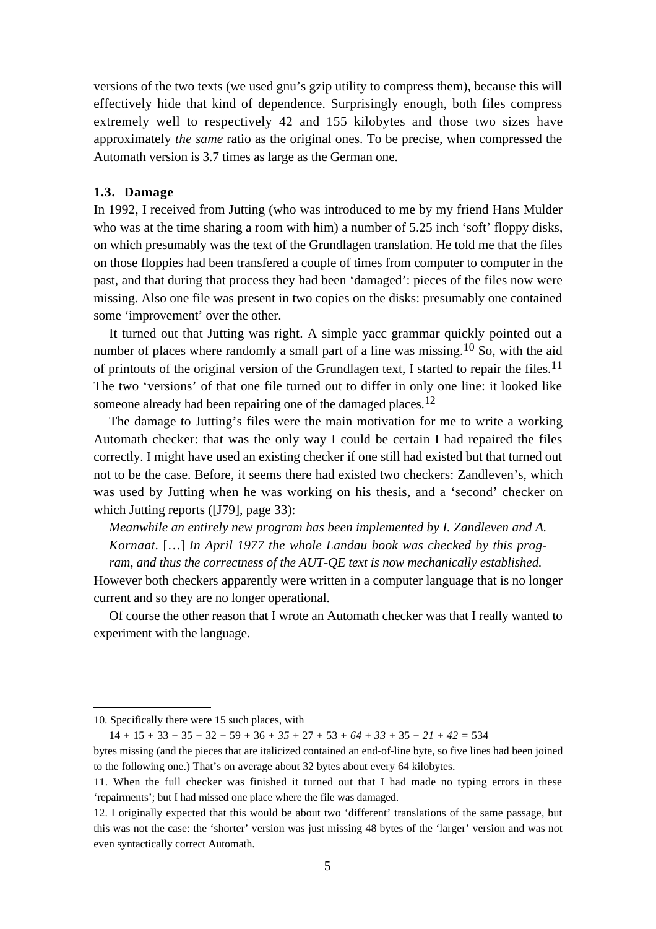versions of the two texts (we used gnu's gzip utility to compress them), because this will effectively hide that kind of dependence. Surprisingly enough, both files compress extremely well to respectively 42 and 155 kilobytes and those two sizes have approximately *the same* ratio as the original ones. To be precise, when compressed the Automath version is 3.7 times as large as the German one.

## **1.3. Damage**

In 1992, I received from Jutting (who was introduced to me by my friend Hans Mulder who was at the time sharing a room with him) a number of 5.25 inch 'soft' floppy disks, on which presumably was the text of the Grundlagen translation. He told me that the files on those floppies had been transfered a couple of times from computer to computer in the past, and that during that process they had been 'damaged': pieces of the files now were missing. Also one file was present in two copies on the disks: presumably one contained some 'improvement' over the other.

It turned out that Jutting was right. A simple yacc grammar quickly pointed out a number of places where randomly a small part of a line was missing.<sup>10</sup> So, with the aid of printouts of the original version of the Grundlagen text, I started to repair the files.<sup>11</sup> The two 'versions' of that one file turned out to differ in only one line: it looked like someone already had been repairing one of the damaged places.<sup>12</sup>

The damage to Jutting's files were the main motivation for me to write a working Automath checker: that was the only way I could be certain I had repaired the files correctly. I might have used an existing checker if one still had existed but that turned out not to be the case. Before, it seems there had existed two checkers: Zandleven's, which was used by Jutting when he was working on his thesis, and a 'second' checker on which Jutting reports ([J79], page 33):

*Meanwhile an entirely new program has been implemented by I. Zandleven and A.*

*Kornaat.* […] *In April 1977 the whole Landau book was checked by this program, and thus the correctness of the AUT-QE text is now mechanically established.*

However both checkers apparently were written in a computer language that is no longer current and so they are no longer operational.

Of course the other reason that I wrote an Automath checker was that I really wanted to experiment with the language.

<sup>10.</sup> Specifically there were 15 such places, with

<sup>14 + 15 + 33 + 35 + 32 + 59 + 36 +</sup> *35* + 27 + 53 + *64* + *33* + 35 + *21* + *42* = 534

bytes missing (and the pieces that are italicized contained an end-of-line byte, so five lines had been joined to the following one.) That's on average about 32 bytes about every 64 kilobytes.

<sup>11.</sup> When the full checker was finished it turned out that I had made no typing errors in these 'repairments'; but I had missed one place where the file was damaged.

<sup>12.</sup> I originally expected that this would be about two 'different' translations of the same passage, but this was not the case: the 'shorter' version was just missing 48 bytes of the 'larger' version and was not even syntactically correct Automath.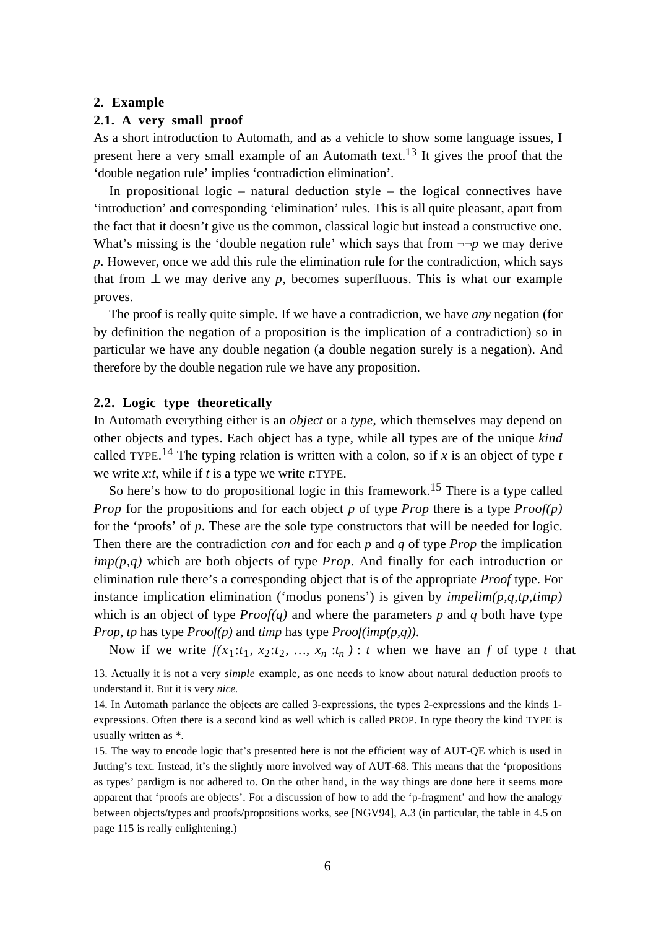#### **2. Example**

## **2.1. A very small proof**

As a short introduction to Automath, and as a vehicle to show some language issues, I present here a very small example of an Automath text.<sup>13</sup> It gives the proof that the 'double negation rule' implies 'contradiction elimination'.

In propositional logic – natural deduction style – the logical connectives have 'introduction' and corresponding 'elimination' rules. This is all quite pleasant, apart from the fact that it doesn't give us the common, classical logic but instead a constructive one. What's missing is the 'double negation rule' which says that from  $\neg\neg p$  we may derive *p*. However, once we add this rule the elimination rule for the contradiction, which says that from  $\perp$  we may derive any p, becomes superfluous. This is what our example proves.

The proof is really quite simple. If we have a contradiction, we have *any* negation (for by definition the negation of a proposition is the implication of a contradiction) so in particular we have any double negation (a double negation surely is a negation). And therefore by the double negation rule we have any proposition.

#### **2.2. Logic type theoretically**

In Automath everything either is an *object* or a *type*, which themselves may depend on other objects and types. Each object has a type, while all types are of the unique *kind* called TYPE.<sup>14</sup> The typing relation is written with a colon, so if  $x$  is an object of type  $t$ we write *x*:*t*, while if *t* is a type we write *t*:TYPE.

So here's how to do propositional logic in this framework.<sup>15</sup> There is a type called *Prop* for the propositions and for each object *p* of type *Prop* there is a type *Proof(p)* for the 'proofs' of *p*. These are the sole type constructors that will be needed for logic. Then there are the contradiction *con* and for each *p* and *q* of type *Prop* the implication *imp(p,q)* which are both objects of type *Prop*. And finally for each introduction or elimination rule there's a corresponding object that is of the appropriate *Proof* type. For instance implication elimination ('modus ponens') is given by *impelim(p,q,tp,timp)* which is an object of type  $Proof(q)$  and where the parameters p and q both have type *Prop*, *tp* has type *Proof(p)* and *timp* has type *Proof(imp(p,q))*.

Now if we write  $f(x_1:t_1, x_2:t_2, ..., x_n:t_n)$ : *t* when we have an *f* of type *t* that

<sup>13.</sup> Actually it is not a very *simple* example, as one needs to know about natural deduction proofs to understand it. But it is very *nice.*

<sup>14.</sup> In Automath parlance the objects are called 3-expressions, the types 2-expressions and the kinds 1 expressions. Often there is a second kind as well which is called PROP. In type theory the kind TYPE is usually written as \*.

<sup>15.</sup> The way to encode logic that's presented here is not the efficient way of AUT-QE which is used in Jutting's text. Instead, it's the slightly more involved way of AUT-68. This means that the 'propositions as types' pardigm is not adhered to. On the other hand, in the way things are done here it seems more apparent that 'proofs are objects'. For a discussion of how to add the 'p-fragment' and how the analogy between objects/types and proofs/propositions works, see [NGV94], A.3 (in particular, the table in 4.5 on page 115 is really enlightening.)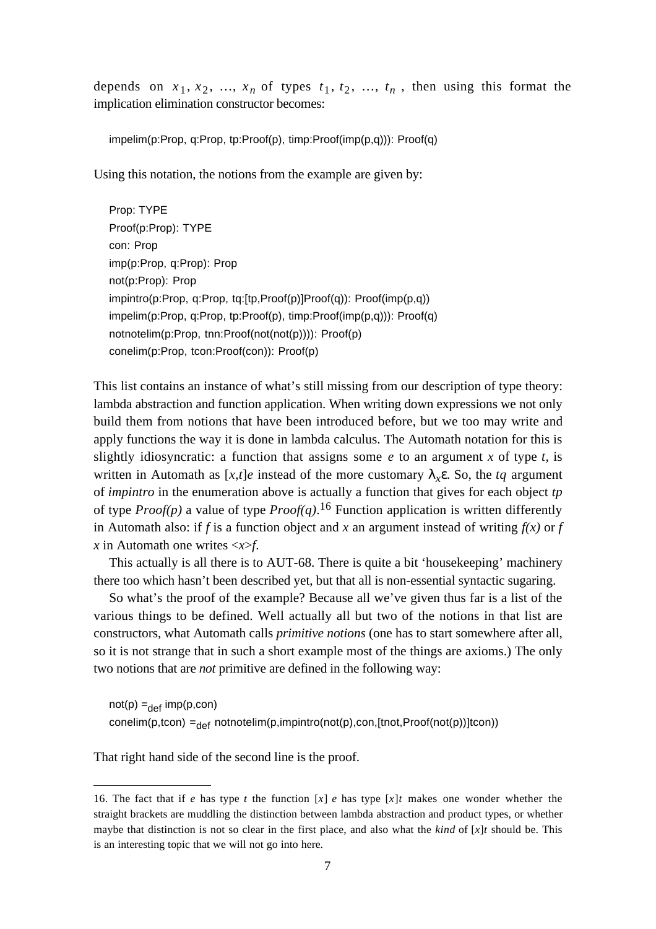depends on  $x_1, x_2, ..., x_n$  of types  $t_1, t_2, ..., t_n$ , then using this format the implication elimination constructor becomes:

impelim(p:Prop, q:Prop, tp:Proof(p), timp:Proof(imp(p,q))): Proof(q)

Using this notation, the notions from the example are given by:

Prop: TYPE Proof(p:Prop): TYPE con: Prop imp(p:Prop, q:Prop): Prop not(p:Prop): Prop impintro(p:Prop, q:Prop, tq:[tp,Proof(p)]Proof(q)): Proof(imp(p,q)) impelim(p:Prop, q:Prop, tp:Proof(p), timp:Proof(imp(p,q))): Proof(q) notnotelim(p:Prop, tnn:Proof(not(not(p)))): Proof(p) conelim(p:Prop, tcon:Proof(con)): Proof(p)

This list contains an instance of what's still missing from our description of type theory: lambda abstraction and function application. When writing down expressions we not only build them from notions that have been introduced before, but we too may write and apply functions the way it is done in lambda calculus. The Automath notation for this is slightly idiosyncratic: a function that assigns some  $e$  to an argument  $x$  of type  $t$ , is written in Automath as  $[x,t]e$  instead of the more customary  $\lambda_{x} \varepsilon$ . So, the *tq* argument of *impintro* in the enumeration above is actually a function that gives for each object *tp* of type *Proof(p)* a value of type *Proof(q)*. 16 Function application is written differently in Automath also: if *f* is a function object and *x* an argument instead of writing  $f(x)$  or *f x* in Automath one writes <*x*>*f*.

This actually is all there is to AUT-68. There is quite a bit 'housekeeping' machinery there too which hasn't been described yet, but that all is non-essential syntactic sugaring.

So what's the proof of the example? Because all we've given thus far is a list of the various things to be defined. Well actually all but two of the notions in that list are constructors, what Automath calls *primitive notions* (one has to start somewhere after all, so it is not strange that in such a short example most of the things are axioms.) The only two notions that are *not* primitive are defined in the following way:

 $not(p) =_{def} imp(p, con)$ conelim(p,tcon) = $_{def}$  notnotelim(p,impintro(not(p),con,[tnot,Proof(not(p))]tcon))

That right hand side of the second line is the proof.

<sup>16.</sup> The fact that if *e* has type *t* the function [*x*] *e* has type [*x*]*t* makes one wonder whether the straight brackets are muddling the distinction between lambda abstraction and product types, or whether maybe that distinction is not so clear in the first place, and also what the *kind* of  $[x]$ *t* should be. This is an interesting topic that we will not go into here.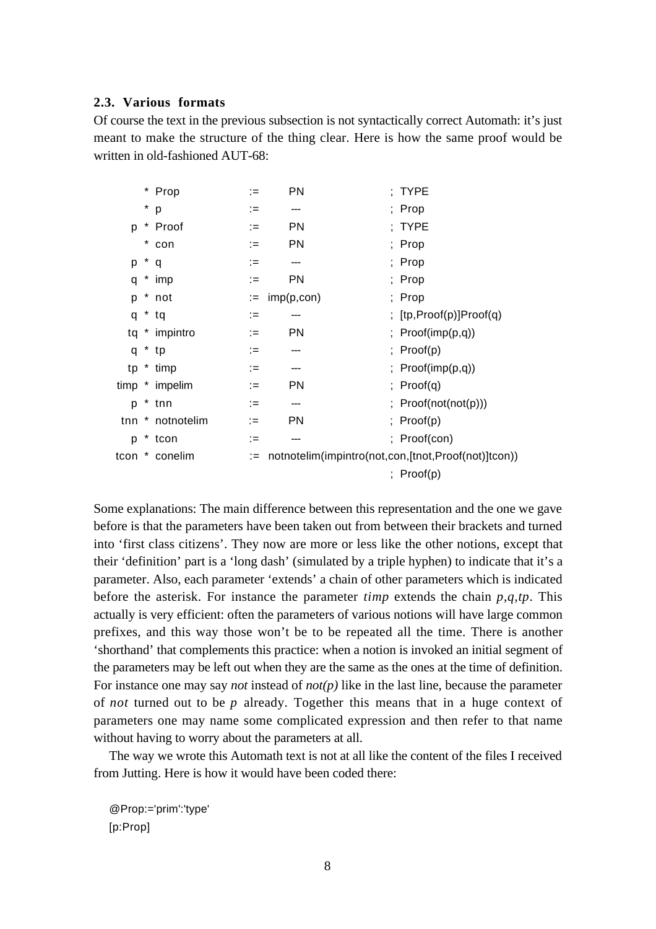## **2.3. Various formats**

Of course the text in the previous subsection is not syntactically correct Automath: it's just meant to make the structure of the thing clear. Here is how the same proof would be written in old-fashioned AUT-68;

| $^\star$<br>; Prop<br>р<br>∶≔<br>---<br>$\ast$<br>PN<br>; TYPE<br>Proof<br>p<br>(≔<br><b>PN</b><br>*<br>; Prop<br>con<br>$:=$<br>*<br>; Prop<br>р<br>:=<br>q<br>---<br>$*$ imp<br><b>PN</b><br>; Prop<br>q<br>$:=$<br>* not<br>$:=$ imp(p,con)<br>; Prop<br>p<br>$*$ tq<br>q<br>∶≔<br>* impintro<br><b>PN</b><br>tq<br>$:=$<br>$*$ tp<br>; $Proof(p)$<br>q<br>∶≔<br>* timp<br>tp<br>∶≔<br>---<br><b>PN</b><br>timp * impelim<br>; $Proof(q)$<br>$:=$<br>$*$ tnn<br>p<br>:=<br>tnn * notnotelim<br><b>PN</b><br>; $Proof(p)$<br>$:=$<br>tcon<br>p<br>∶≔<br>---<br>notnotelim(impintro(not,con,[tnot,Proof(not)]tcon))<br>* conelim<br>tcon<br>$:=$ |  | * Prop | ∶≔ | <b>PN</b> | ; TYPE                     |
|---------------------------------------------------------------------------------------------------------------------------------------------------------------------------------------------------------------------------------------------------------------------------------------------------------------------------------------------------------------------------------------------------------------------------------------------------------------------------------------------------------------------------------------------------------------------------------------------------------------------------------------------------|--|--------|----|-----------|----------------------------|
|                                                                                                                                                                                                                                                                                                                                                                                                                                                                                                                                                                                                                                                   |  |        |    |           |                            |
|                                                                                                                                                                                                                                                                                                                                                                                                                                                                                                                                                                                                                                                   |  |        |    |           |                            |
|                                                                                                                                                                                                                                                                                                                                                                                                                                                                                                                                                                                                                                                   |  |        |    |           |                            |
|                                                                                                                                                                                                                                                                                                                                                                                                                                                                                                                                                                                                                                                   |  |        |    |           |                            |
|                                                                                                                                                                                                                                                                                                                                                                                                                                                                                                                                                                                                                                                   |  |        |    |           |                            |
|                                                                                                                                                                                                                                                                                                                                                                                                                                                                                                                                                                                                                                                   |  |        |    |           |                            |
|                                                                                                                                                                                                                                                                                                                                                                                                                                                                                                                                                                                                                                                   |  |        |    |           | ; $[tp, Proof(p)]Proof(q)$ |
|                                                                                                                                                                                                                                                                                                                                                                                                                                                                                                                                                                                                                                                   |  |        |    |           | ; $Proof(imp(p,q))$        |
|                                                                                                                                                                                                                                                                                                                                                                                                                                                                                                                                                                                                                                                   |  |        |    |           |                            |
|                                                                                                                                                                                                                                                                                                                                                                                                                                                                                                                                                                                                                                                   |  |        |    |           | ; $Proof(imp(p,q))$        |
|                                                                                                                                                                                                                                                                                                                                                                                                                                                                                                                                                                                                                                                   |  |        |    |           |                            |
|                                                                                                                                                                                                                                                                                                                                                                                                                                                                                                                                                                                                                                                   |  |        |    |           | ; $Proof(not(not(p)))$     |
|                                                                                                                                                                                                                                                                                                                                                                                                                                                                                                                                                                                                                                                   |  |        |    |           |                            |
|                                                                                                                                                                                                                                                                                                                                                                                                                                                                                                                                                                                                                                                   |  |        |    |           | ; Proof(con)               |
|                                                                                                                                                                                                                                                                                                                                                                                                                                                                                                                                                                                                                                                   |  |        |    |           |                            |
|                                                                                                                                                                                                                                                                                                                                                                                                                                                                                                                                                                                                                                                   |  |        |    |           | ; $Proof(p)$               |

Some explanations: The main difference between this representation and the one we gave before is that the parameters have been taken out from between their brackets and turned into 'first class citizens'. They now are more or less like the other notions, except that their 'definition' part is a 'long dash' (simulated by a triple hyphen) to indicate that it's a parameter. Also, each parameter 'extends' a chain of other parameters which is indicated before the asterisk. For instance the parameter *timp* extends the chain *p,q,tp*. This actually is very efficient: often the parameters of various notions will have large common prefixes, and this way those won't be to be repeated all the time. There is another 'shorthand' that complements this practice: when a notion is invoked an initial segment of the parameters may be left out when they are the same as the ones at the time of definition. For instance one may say *not* instead of *not(p)* like in the last line, because the parameter of *not* turned out to be *p* already. Together this means that in a huge context of parameters one may name some complicated expression and then refer to that name without having to worry about the parameters at all.

The way we wrote this Automath text is not at all like the content of the files I received from Jutting. Here is how it would have been coded there:

@Prop:='prim':'type' [p:Prop]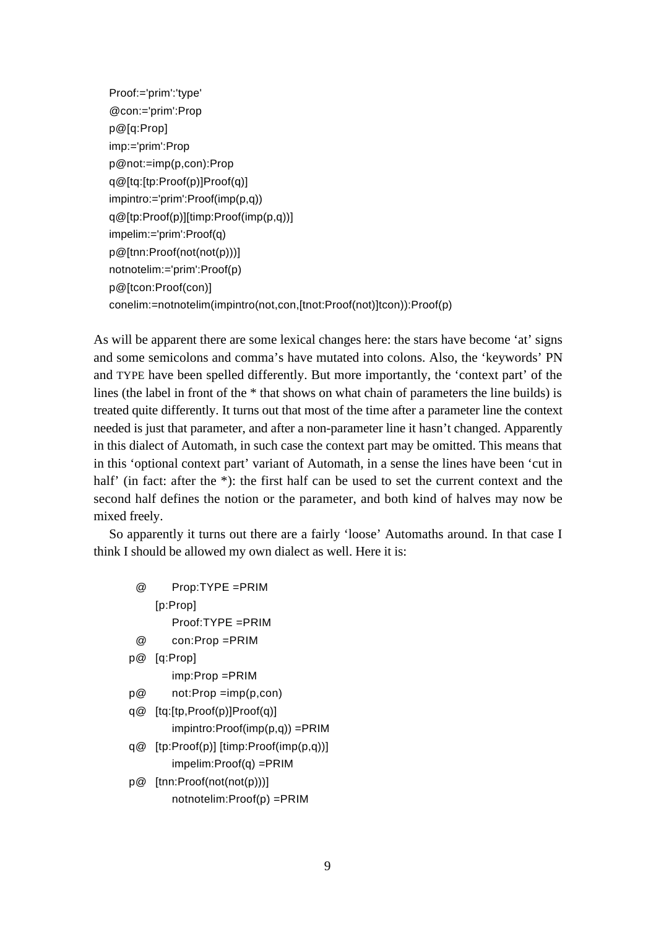```
Proof:='prim':'type'
@con:='prim':Prop
p@[q:Prop]
imp:='prim':Prop
p@not:=imp(p,con):Prop
q@[tq:[tp:Proof(p)]Proof(q)]
impintro:='prim':Proof(imp(p,q))
q@[tp:Proof(p)][timp:Proof(imp(p,q))]
impelim:='prim':Proof(q)
p@[tnn:Proof(not(not(p)))]
notnotelim:='prim':Proof(p)
p@[tcon:Proof(con)]
conelim:=notnotelim(impintro(not,con,[tnot:Proof(not)]tcon)):Proof(p)
```
As will be apparent there are some lexical changes here: the stars have become 'at' signs and some semicolons and comma's have mutated into colons. Also, the 'keywords' PN and TYPE have been spelled differently. But more importantly, the 'context part' of the lines (the label in front of the \* that shows on what chain of parameters the line builds) is treated quite differently. It turns out that most of the time after a parameter line the context needed is just that parameter, and after a non-parameter line it hasn't changed. Apparently in this dialect of Automath, in such case the context part may be omitted. This means that in this 'optional context part' variant of Automath, in a sense the lines have been 'cut in half' (in fact: after the \*): the first half can be used to set the current context and the second half defines the notion or the parameter, and both kind of halves may now be mixed freely.

So apparently it turns out there are a fairly 'loose' Automaths around. In that case I think I should be allowed my own dialect as well. Here it is:

| Prop:TYPE =PRIM                      |
|--------------------------------------|
| [p:Prop]                             |
| $Proof: TYPE = PRIM$                 |
| $con:Prop = PRIM$                    |
| [q:Prop]                             |
| imp:Prop =PRIM                       |
| $not: Prop = imp(p, con)$            |
| [tq:[tp,Proof(p)]Proof(q)]           |
| impintro:Proof(imp(p,q)) =PRIM       |
| [tp:Proof(p)] [timp:Proof(imp(p,q))] |
| impelim:Proof(q) =PRIM               |
| [tnn:Proof(not(not(p)))]             |
|                                      |

notnotelim:Proof(p) =PRIM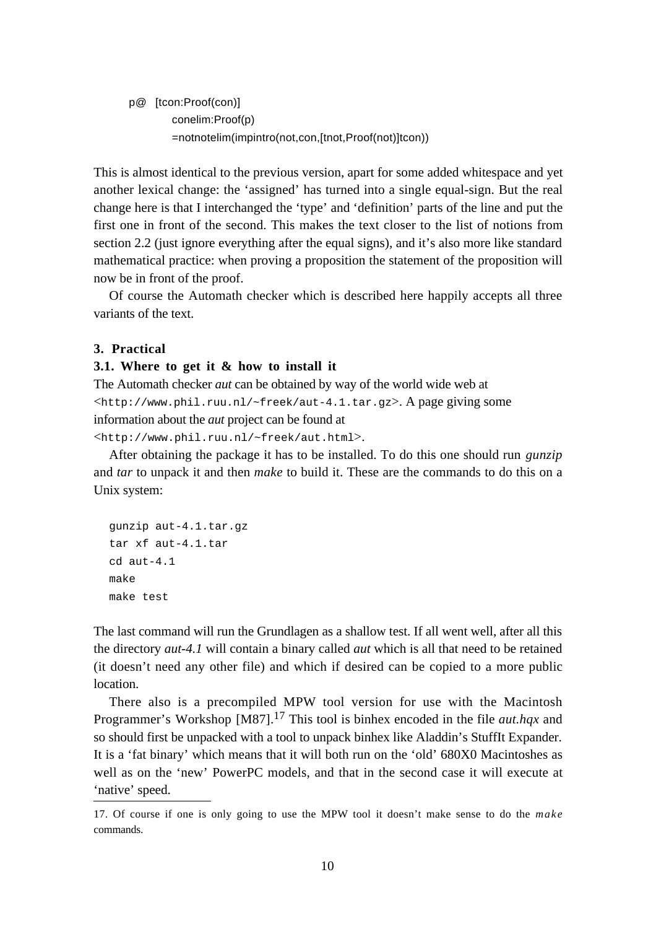p@ [tcon:Proof(con)] conelim:Proof(p) =notnotelim(impintro(not,con,[tnot,Proof(not)]tcon))

This is almost identical to the previous version, apart for some added whitespace and yet another lexical change: the 'assigned' has turned into a single equal-sign. But the real change here is that I interchanged the 'type' and 'definition' parts of the line and put the first one in front of the second. This makes the text closer to the list of notions from section 2.2 (just ignore everything after the equal signs), and it's also more like standard mathematical practice: when proving a proposition the statement of the proposition will now be in front of the proof.

Of course the Automath checker which is described here happily accepts all three variants of the text.

# **3. Practical**

#### **3.1. Where to get it & how to install it**

The Automath checker *aut* can be obtained by way of the world wide web at <http://www.phil.ruu.nl/~freek/aut-4.1.tar.gz>. A page giving some information about the *aut* project can be found at

```
<http://www.phil.ruu.nl/~freek/aut.html>.
```
After obtaining the package it has to be installed. To do this one should run *gunzip* and *tar* to unpack it and then *make* to build it. These are the commands to do this on a Unix system:

```
gunzip aut-4.1.tar.gz
tar xf aut-4.1.tar
cd aut-4.1
make
make test
```
The last command will run the Grundlagen as a shallow test. If all went well, after all this the directory *aut-4.1* will contain a binary called *aut* which is all that need to be retained (it doesn't need any other file) and which if desired can be copied to a more public location.

There also is a precompiled MPW tool version for use with the Macintosh Programmer's Workshop [M87].17 This tool is binhex encoded in the file *aut.hqx* and so should first be unpacked with a tool to unpack binhex like Aladdin's StuffIt Expander. It is a 'fat binary' which means that it will both run on the 'old' 680X0 Macintoshes as well as on the 'new' PowerPC models, and that in the second case it will execute at 'native' speed.

<sup>17.</sup> Of course if one is only going to use the MPW tool it doesn't make sense to do the *make* commands.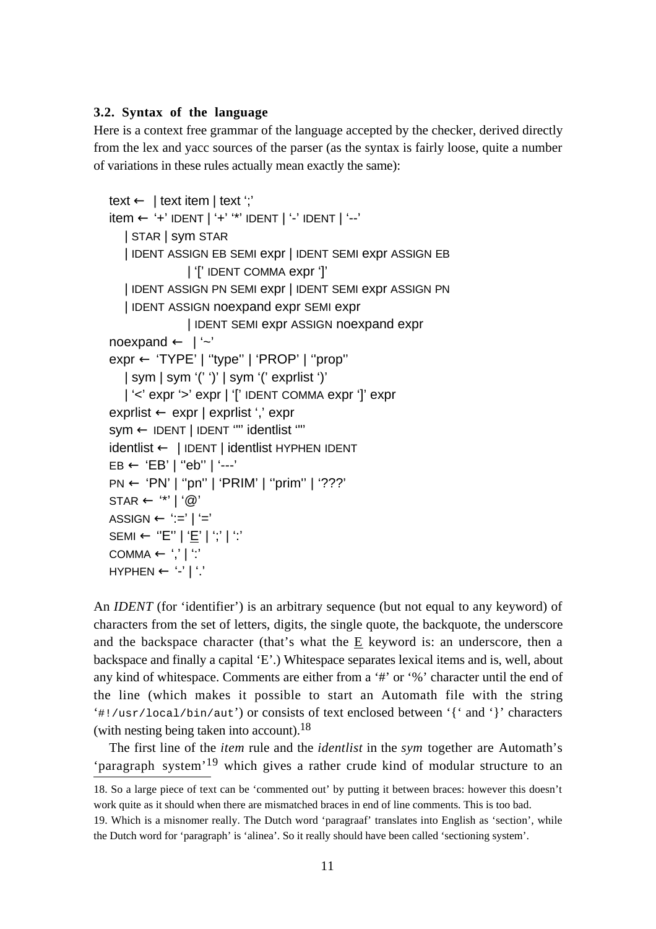## **3.2. Syntax of the language**

Here is a context free grammar of the language accepted by the checker, derived directly from the lex and yacc sources of the parser (as the syntax is fairly loose, quite a number of variations in these rules actually mean exactly the same):

```
text ← | text item | text ';'
item ← '+' IDENT | '+' '*' IDENT | '-' IDENT | '--'
   | STAR | sym STAR
   | IDENT ASSIGN EB SEMI expr | IDENT SEMI expr ASSIGN EB
               | '[' IDENT COMMA expr ']'
   | IDENT ASSIGN PN SEMI expr | IDENT SEMI expr ASSIGN PN
   | IDENT ASSIGN noexpand expr SEMI expr
               | IDENT SEMI expr ASSIGN noexpand expr
noexpand \leftarrow | '~'
expr ← 'TYPE' | ''type'' | 'PROP' | ''prop''
   | sym | sym '(' ')' | sym '(' exprlist ')'
  | '<' expr '>' expr | '[' IDENT COMMA expr ']' expr
exprlist ← expr | exprlist ',' expr
sym ← IDENT | IDENT '"' identlist '"'
identlist ← | IDENT | identlist HYPHEN IDENT
EB \leftarrow 'EB' | "eb" | '--'PN ← 'PN' | ''pn'' | 'PRIM' | ''prim'' | '???'
STAR \leftarrow (*' | '@'ASSIGN \leftarrow ':=' | '='SEMI ← "E" | 'E' | ';' | ':'
COMMA ← ',' | ':'
HYPHEN \leftarrow '-' | '.'
```
An *IDENT* (for 'identifier') is an arbitrary sequence (but not equal to any keyword) of characters from the set of letters, digits, the single quote, the backquote, the underscore and the backspace character (that's what the  $E$  keyword is: an underscore, then a backspace and finally a capital 'E'.) Whitespace separates lexical items and is, well, about any kind of whitespace. Comments are either from a '#' or '%' character until the end of the line (which makes it possible to start an Automath file with the string '#!/usr/local/bin/aut') or consists of text enclosed between '{' and '}' characters (with nesting being taken into account).  $18$ 

The first line of the *item* rule and the *identlist* in the *sym* together are Automath's 'paragraph system'19 which gives a rather crude kind of modular structure to an

<sup>18.</sup> So a large piece of text can be 'commented out' by putting it between braces: however this doesn't work quite as it should when there are mismatched braces in end of line comments. This is too bad.

<sup>19.</sup> Which is a misnomer really. The Dutch word 'paragraaf' translates into English as 'section', while the Dutch word for 'paragraph' is 'alinea'. So it really should have been called 'sectioning system'.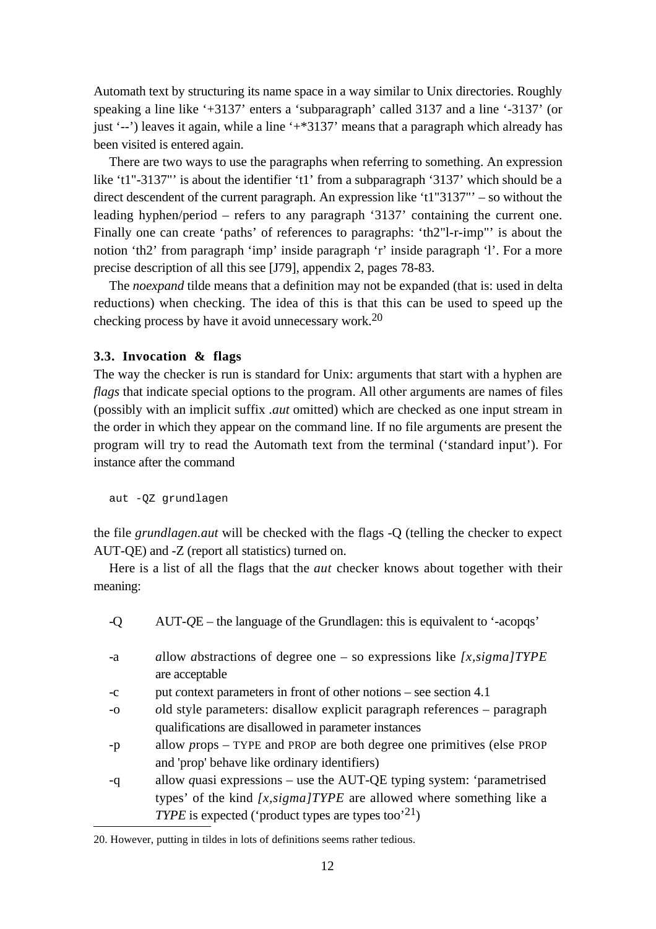Automath text by structuring its name space in a way similar to Unix directories. Roughly speaking a line like '+3137' enters a 'subparagraph' called 3137 and a line '-3137' (or just '--') leaves it again, while a line '+\*3137' means that a paragraph which already has been visited is entered again.

There are two ways to use the paragraphs when referring to something. An expression like 't1"-3137"' is about the identifier 't1' from a subparagraph '3137' which should be a direct descendent of the current paragraph. An expression like 't1"3137"' – so without the leading hyphen/period – refers to any paragraph '3137' containing the current one. Finally one can create 'paths' of references to paragraphs: 'th2"l-r-imp"' is about the notion 'th2' from paragraph 'imp' inside paragraph 'r' inside paragraph 'l'. For a more precise description of all this see [J79], appendix 2, pages 78-83.

The *noexpand* tilde means that a definition may not be expanded (that is: used in delta reductions) when checking. The idea of this is that this can be used to speed up the checking process by have it avoid unnecessary work.20

## **3.3. Invocation & flags**

The way the checker is run is standard for Unix: arguments that start with a hyphen are *flags* that indicate special options to the program. All other arguments are names of files (possibly with an implicit suffix *.aut* omitted) which are checked as one input stream in the order in which they appear on the command line. If no file arguments are present the program will try to read the Automath text from the terminal ('standard input'). For instance after the command

aut -QZ grundlagen

the file *grundlagen.aut* will be checked with the flags -Q (telling the checker to expect AUT-QE) and -Z (report all statistics) turned on.

Here is a list of all the flags that the *aut* checker knows about together with their meaning:

-Q AUT-*Q*E – the language of the Grundlagen: this is equivalent to '-acopqs' -a *a*llow *a*bstractions of degree one – so expressions like *[x,sigma]TYPE* are acceptable -c put *c*ontext parameters in front of other notions – see section 4.1 -o *o*ld style parameters: disallow explicit paragraph references – paragraph qualifications are disallowed in parameter instances -p allow *p*rops – TYPE and PROP are both degree one primitives (else PROP and 'prop' behave like ordinary identifiers) -q allow *q*uasi expressions – use the AUT-QE typing system: 'parametrised types' of the kind *[x,sigma]TYPE* are allowed where something like a *TYPE* is expected ('product types are types too'<sup>21</sup>)

<sup>20.</sup> However, putting in tildes in lots of definitions seems rather tedious.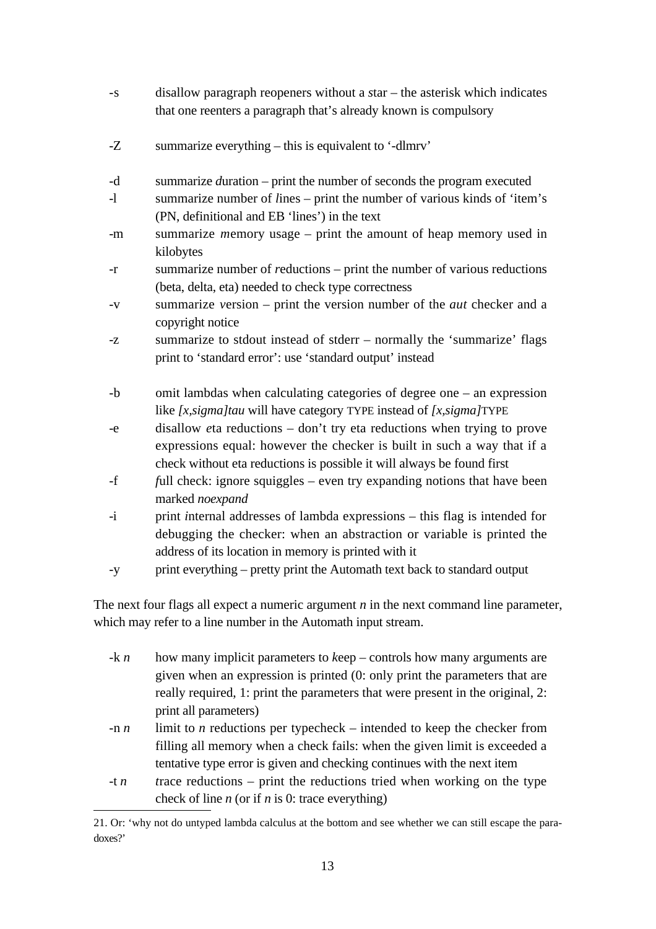- -s disallow paragraph reopeners without a *s*tar the asterisk which indicates that one reenters a paragraph that's already known is compulsory
- -Z summarize everything this is equivalent to '-dlmrv'
- -d summarize *d*uration print the number of seconds the program executed
- -l summarize number of *l*ines print the number of various kinds of 'item's (PN, definitional and EB 'lines') in the text
- -m summarize *m*emory usage print the amount of heap memory used in kilobytes
- -r summarize number of *r*eductions print the number of various reductions (beta, delta, eta) needed to check type correctness
- -v summarize *v*ersion print the version number of the *aut* checker and a copyright notice
- -z summarize to stdout instead of stderr normally the 'summarize' flags print to 'standard error': use 'standard output' instead
- -b omit lambdas when calculating categories of degree one an expression like *[x,sigma]tau* will have category TYPE instead of *[x,sigma]*TYPE
- -e disallow *e*ta reductions don't try eta reductions when trying to prove expressions equal: however the checker is built in such a way that if a check without eta reductions is possible it will always be found first
- -f *f*ull check: ignore squiggles even try expanding notions that have been marked *noexpand*
- -i print *i*nternal addresses of lambda expressions this flag is intended for debugging the checker: when an abstraction or variable is printed the address of its location in memory is printed with it
- -y print ever*y*thing pretty print the Automath text back to standard output

The next four flags all expect a numeric argument *n* in the next command line parameter, which may refer to a line number in the Automath input stream.

- -k *n* how many implicit parameters to *keep* controls how many arguments are given when an expression is printed (0: only print the parameters that are really required, 1: print the parameters that were present in the original, 2: print all parameters)
- -n *n* limit to *n* reductions per typecheck intended to keep the checker from filling all memory when a check fails: when the given limit is exceeded a tentative type error is given and checking continues with the next item
- -t *n t*race reductions print the reductions tried when working on the type check of line *n* (or if *n* is 0: trace everything)

<sup>21.</sup> Or: 'why not do untyped lambda calculus at the bottom and see whether we can still escape the paradoxes?'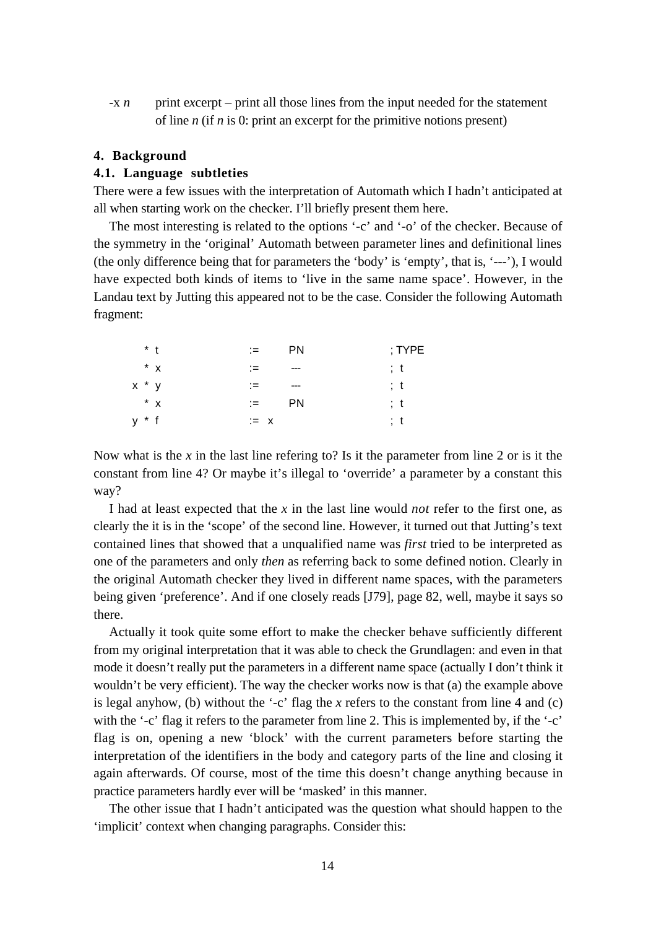-x *n* print excerpt – print all those lines from the input needed for the statement of line *n* (if *n* is 0: print an excerpt for the primitive notions present)

## **4. Background**

### **4.1. Language subtleties**

There were a few issues with the interpretation of Automath which I hadn't anticipated at all when starting work on the checker. I'll briefly present them here.

The most interesting is related to the options '-c' and '-o' of the checker. Because of the symmetry in the 'original' Automath between parameter lines and definitional lines (the only difference being that for parameters the 'body' is 'empty', that is, '---'), I would have expected both kinds of items to 'live in the same name space'. However, in the Landau text by Jutting this appeared not to be the case. Consider the following Automath fragment:

|         | $*$ t | $:=$   | <b>PN</b> | ; $\mathsf{TYPE}$ |
|---------|-------|--------|-----------|-------------------|
|         | $*$ x | ∶≕     | $- - -$   | ; t               |
| $x * y$ |       | ∶=∶    | ---       | : t               |
|         | $*$ x | i= L   | <b>PN</b> | ; t               |
| $y * f$ |       | $:= x$ |           | ; t               |

Now what is the *x* in the last line refering to? Is it the parameter from line 2 or is it the constant from line 4? Or maybe it's illegal to 'override' a parameter by a constant this way?

I had at least expected that the *x* in the last line would *not* refer to the first one, as clearly the it is in the 'scope' of the second line. However, it turned out that Jutting's text contained lines that showed that a unqualified name was *first* tried to be interpreted as one of the parameters and only *then* as referring back to some defined notion. Clearly in the original Automath checker they lived in different name spaces, with the parameters being given 'preference'. And if one closely reads [J79], page 82, well, maybe it says so there.

Actually it took quite some effort to make the checker behave sufficiently different from my original interpretation that it was able to check the Grundlagen: and even in that mode it doesn't really put the parameters in a different name space (actually I don't think it wouldn't be very efficient). The way the checker works now is that (a) the example above is legal anyhow, (b) without the '-c' flag the  $x$  refers to the constant from line 4 and (c) with the '-c' flag it refers to the parameter from line 2. This is implemented by, if the '-c' flag is on, opening a new 'block' with the current parameters before starting the interpretation of the identifiers in the body and category parts of the line and closing it again afterwards. Of course, most of the time this doesn't change anything because in practice parameters hardly ever will be 'masked' in this manner.

The other issue that I hadn't anticipated was the question what should happen to the 'implicit' context when changing paragraphs. Consider this: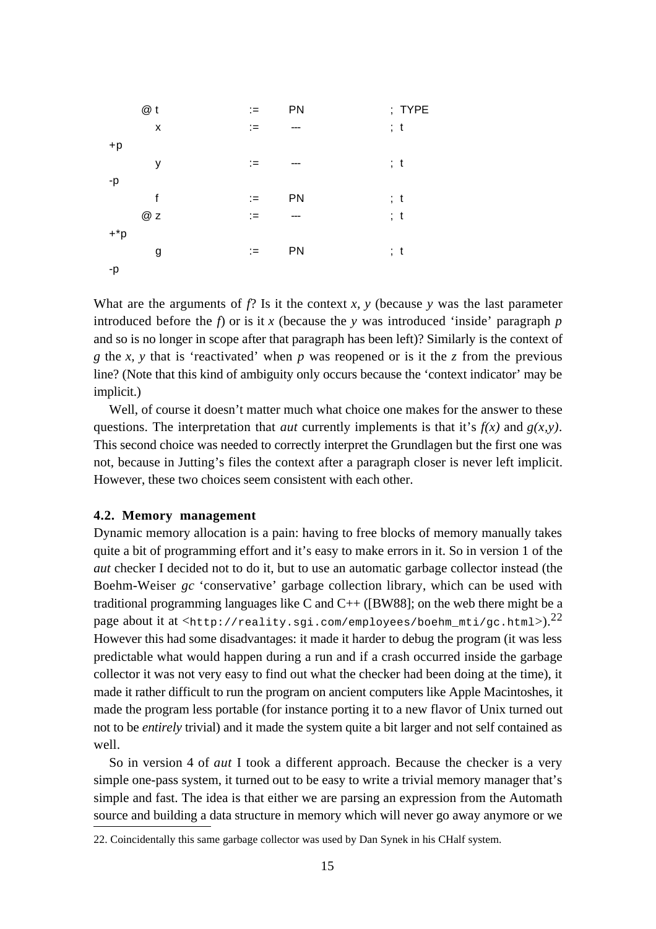|               | @t | $:=$ | PN    |     | ; TYPE |
|---------------|----|------|-------|-----|--------|
|               | X  | $:=$ | ---   |     | ; t    |
| $+p$          |    |      |       |     |        |
|               | у  | $:=$ | $---$ | ; t |        |
| -p            |    |      |       |     |        |
|               | f  | $:=$ | PN    |     | ; t    |
|               | @z | $:=$ | ---   |     | ; t    |
| $+{}^{\ast}p$ |    |      |       |     |        |
|               | g  | $:=$ | PN    | ; t |        |
| -p            |    |      |       |     |        |

What are the arguments of  $f$ ? Is it the context  $x$ ,  $y$  (because  $y$  was the last parameter introduced before the  $f$ ) or is it  $x$  (because the  $y$  was introduced 'inside' paragraph  $p$ and so is no longer in scope after that paragraph has been left)? Similarly is the context of *g* the *x, y* that is 'reactivated' when *p* was reopened or is it the *z* from the previous line? (Note that this kind of ambiguity only occurs because the 'context indicator' may be implicit.)

Well, of course it doesn't matter much what choice one makes for the answer to these questions. The interpretation that *aut* currently implements is that it's  $f(x)$  and  $g(x,y)$ . This second choice was needed to correctly interpret the Grundlagen but the first one was not, because in Jutting's files the context after a paragraph closer is never left implicit. However, these two choices seem consistent with each other.

### **4.2. Memory management**

Dynamic memory allocation is a pain: having to free blocks of memory manually takes quite a bit of programming effort and it's easy to make errors in it. So in version 1 of the *aut* checker I decided not to do it, but to use an automatic garbage collector instead (the Boehm-Weiser *gc* 'conservative' garbage collection library, which can be used with traditional programming languages like C and  $C_{++}$  ([BW88]; on the web there might be a page about it at  $\langle$ http://reality.sgi.com/employees/boehm\_mti/gc.html> $).^{22}$ However this had some disadvantages: it made it harder to debug the program (it was less predictable what would happen during a run and if a crash occurred inside the garbage collector it was not very easy to find out what the checker had been doing at the time), it made it rather difficult to run the program on ancient computers like Apple Macintoshes, it made the program less portable (for instance porting it to a new flavor of Unix turned out not to be *entirely* trivial) and it made the system quite a bit larger and not self contained as well.

So in version 4 of *aut* I took a different approach. Because the checker is a very simple one-pass system, it turned out to be easy to write a trivial memory manager that's simple and fast. The idea is that either we are parsing an expression from the Automath source and building a data structure in memory which will never go away anymore or we

<sup>22.</sup> Coincidentally this same garbage collector was used by Dan Synek in his CHalf system.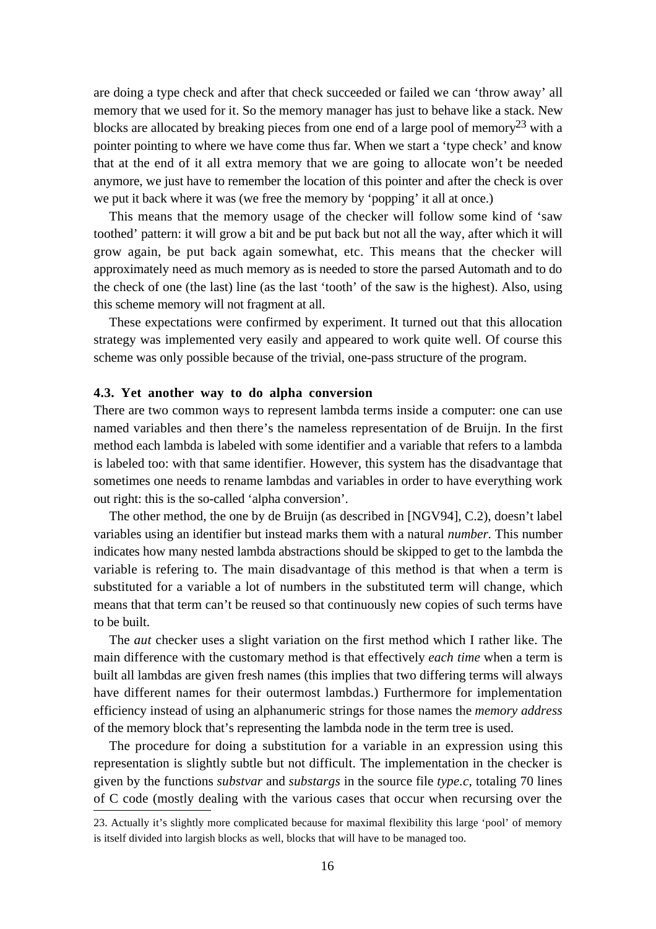are doing a type check and after that check succeeded or failed we can 'throw away' all memory that we used for it. So the memory manager has just to behave like a stack. New blocks are allocated by breaking pieces from one end of a large pool of memory<sup>23</sup> with a pointer pointing to where we have come thus far. When we start a 'type check' and know that at the end of it all extra memory that we are going to allocate won't be needed anymore, we just have to remember the location of this pointer and after the check is over we put it back where it was (we free the memory by 'popping' it all at once.)

This means that the memory usage of the checker will follow some kind of 'saw toothed' pattern: it will grow a bit and be put back but not all the way, after which it will grow again, be put back again somewhat, etc. This means that the checker will approximately need as much memory as is needed to store the parsed Automath and to do the check of one (the last) line (as the last 'tooth' of the saw is the highest). Also, using this scheme memory will not fragment at all.

These expectations were confirmed by experiment. It turned out that this allocation strategy was implemented very easily and appeared to work quite well. Of course this scheme was only possible because of the trivial, one-pass structure of the program.

## **4.3. Yet another way to do alpha conversion**

There are two common ways to represent lambda terms inside a computer: one can use named variables and then there's the nameless representation of de Bruijn. In the first method each lambda is labeled with some identifier and a variable that refers to a lambda is labeled too: with that same identifier. However, this system has the disadvantage that sometimes one needs to rename lambdas and variables in order to have everything work out right: this is the so-called 'alpha conversion'.

The other method, the one by de Bruijn (as described in [NGV94], C.2), doesn't label variables using an identifier but instead marks them with a natural *number.* This number indicates how many nested lambda abstractions should be skipped to get to the lambda the variable is refering to. The main disadvantage of this method is that when a term is substituted for a variable a lot of numbers in the substituted term will change, which means that that term can't be reused so that continuously new copies of such terms have to be built.

The *aut* checker uses a slight variation on the first method which I rather like. The main difference with the customary method is that effectively *each time* when a term is built all lambdas are given fresh names (this implies that two differing terms will always have different names for their outermost lambdas.) Furthermore for implementation efficiency instead of using an alphanumeric strings for those names the *memory address* of the memory block that's representing the lambda node in the term tree is used.

The procedure for doing a substitution for a variable in an expression using this representation is slightly subtle but not difficult. The implementation in the checker is given by the functions *substvar* and *substargs* in the source file *type.c*, totaling 70 lines of C code (mostly dealing with the various cases that occur when recursing over the

<sup>23.</sup> Actually it's slightly more complicated because for maximal flexibility this large 'pool' of memory is itself divided into largish blocks as well, blocks that will have to be managed too.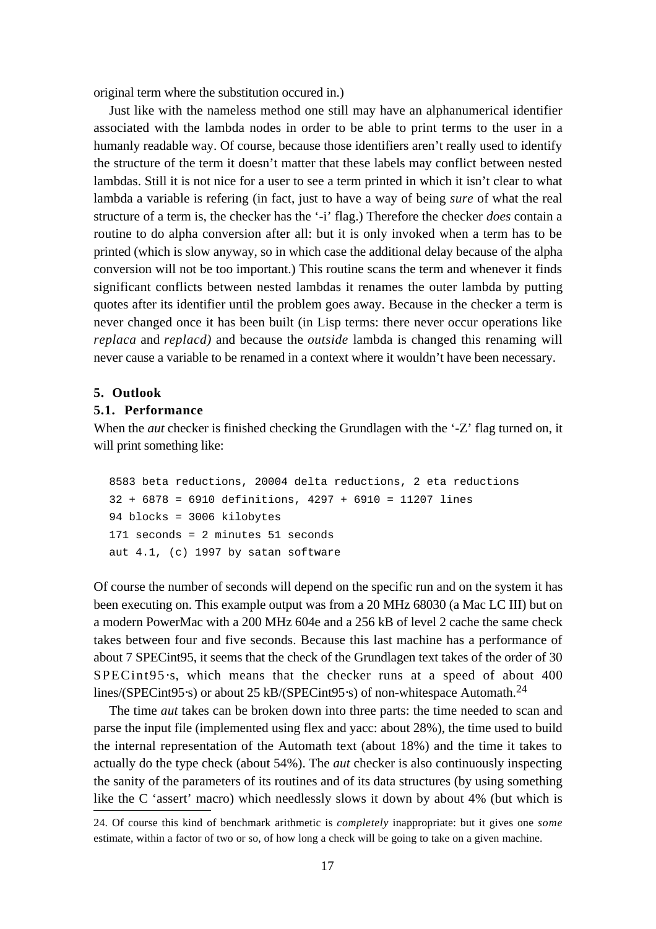original term where the substitution occured in.)

Just like with the nameless method one still may have an alphanumerical identifier associated with the lambda nodes in order to be able to print terms to the user in a humanly readable way. Of course, because those identifiers aren't really used to identify the structure of the term it doesn't matter that these labels may conflict between nested lambdas. Still it is not nice for a user to see a term printed in which it isn't clear to what lambda a variable is refering (in fact, just to have a way of being *sure* of what the real structure of a term is, the checker has the '-i' flag.) Therefore the checker *does* contain a routine to do alpha conversion after all: but it is only invoked when a term has to be printed (which is slow anyway, so in which case the additional delay because of the alpha conversion will not be too important.) This routine scans the term and whenever it finds significant conflicts between nested lambdas it renames the outer lambda by putting quotes after its identifier until the problem goes away. Because in the checker a term is never changed once it has been built (in Lisp terms: there never occur operations like *replaca* and *replacd)* and because the *outside* lambda is changed this renaming will never cause a variable to be renamed in a context where it wouldn't have been necessary.

#### **5. Outlook**

## **5.1. Performance**

When the *aut* checker is finished checking the Grundlagen with the '-Z' flag turned on, it will print something like:

```
8583 beta reductions, 20004 delta reductions, 2 eta reductions
32 + 6878 = 6910 definitions, 4297 + 6910 = 11207 lines
94 blocks = 3006 kilobytes
171 seconds = 2 minutes 51 seconds
aut 4.1, (c) 1997 by satan software
```
Of course the number of seconds will depend on the specific run and on the system it has been executing on. This example output was from a 20 MHz 68030 (a Mac LC III) but on a modern PowerMac with a 200 MHz 604e and a 256 kB of level 2 cache the same check takes between four and five seconds. Because this last machine has a performance of about 7 SPECint95, it seems that the check of the Grundlagen text takes of the order of 30 SPECint95⋅s, which means that the checker runs at a speed of about 400 lines/(SPECint95⋅s) or about 25 kB/(SPECint95⋅s) of non-whitespace Automath.<sup>24</sup>

The time *aut* takes can be broken down into three parts: the time needed to scan and parse the input file (implemented using flex and yacc: about 28%), the time used to build the internal representation of the Automath text (about 18%) and the time it takes to actually do the type check (about 54%). The *aut* checker is also continuously inspecting the sanity of the parameters of its routines and of its data structures (by using something like the C 'assert' macro) which needlessly slows it down by about 4% (but which is

<sup>24.</sup> Of course this kind of benchmark arithmetic is *completely* inappropriate: but it gives one *some* estimate, within a factor of two or so, of how long a check will be going to take on a given machine.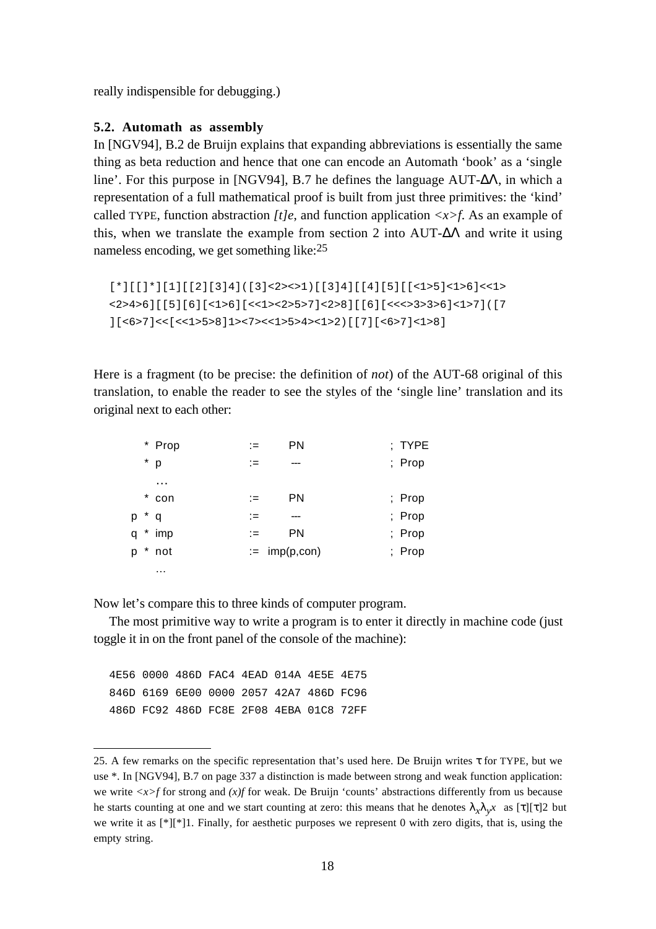really indispensible for debugging.)

## **5.2. Automath as assembly**

In [NGV94], B.2 de Bruijn explains that expanding abbreviations is essentially the same thing as beta reduction and hence that one can encode an Automath 'book' as a 'single line'. For this purpose in [NGV94], B.7 he defines the language AUT-∆Λ, in which a representation of a full mathematical proof is built from just three primitives: the 'kind' called TYPE, function abstraction  $It$ , and function application  $\langle x \rangle f$ . As an example of this, when we translate the example from section 2 into AUT- $\Delta\Lambda$  and write it using nameless encoding, we get something like: 25

```
[*][[]*][1][[2][3]4]([3]<2><>1)[[3]4][[4][5][[<1>5]<1>6]<<1>
<2>4>6][[5][6][<1>6][<<1><2>5>7]<2>8][[6][<<<>3>3>6]<1>7]([7
[(557] < [515] < [515] < [156]<br>12-7>(7155) < [156]<br>12-7>(155) < [156]<br>17] [5657] < [158]
```
Here is a fragment (to be precise: the definition of *not*) of the AUT-68 original of this translation, to enable the reader to see the styles of the 'single line' translation and its original next to each other:

|   |         | * Prop   |      | PN              | ; TYPE |
|---|---------|----------|------|-----------------|--------|
|   |         | $*$ p    | ∶≔   | ---             | ; Prop |
|   |         | $\cdots$ |      |                 |        |
|   | $\star$ | con      | :≡   | <b>PN</b>       | ; Prop |
| p |         | $* q$    | $:=$ | ---             | ; Prop |
| q |         | $*$ imp  | $:=$ | <b>PN</b>       | ; Prop |
| p |         | $*$ not  |      | $:=$ imp(p,con) | ; Prop |
|   |         | .        |      |                 |        |

Now let's compare this to three kinds of computer program.

The most primitive way to write a program is to enter it directly in machine code (just toggle it in on the front panel of the console of the machine):

4E56 0000 486D FAC4 4EAD 014A 4E5E 4E75 846D 6169 6E00 0000 2057 42A7 486D FC96 486D FC92 486D FC8E 2F08 4EBA 01C8 72FF

<sup>25.</sup> A few remarks on the specific representation that's used here. De Bruijn writes  $\tau$  for TYPE, but we use \*. In [NGV94], B.7 on page 337 a distinction is made between strong and weak function application: we write  $\langle x \rangle$  for strong and  $\langle x \rangle$  for weak. De Bruijn 'counts' abstractions differently from us because he starts counting at one and we start counting at zero: this means that he denotes  $\lambda_r \lambda_r x$  as  $[\tau][\tau]2$  but we write it as [\*][\*]1. Finally, for aesthetic purposes we represent 0 with zero digits, that is, using the empty string.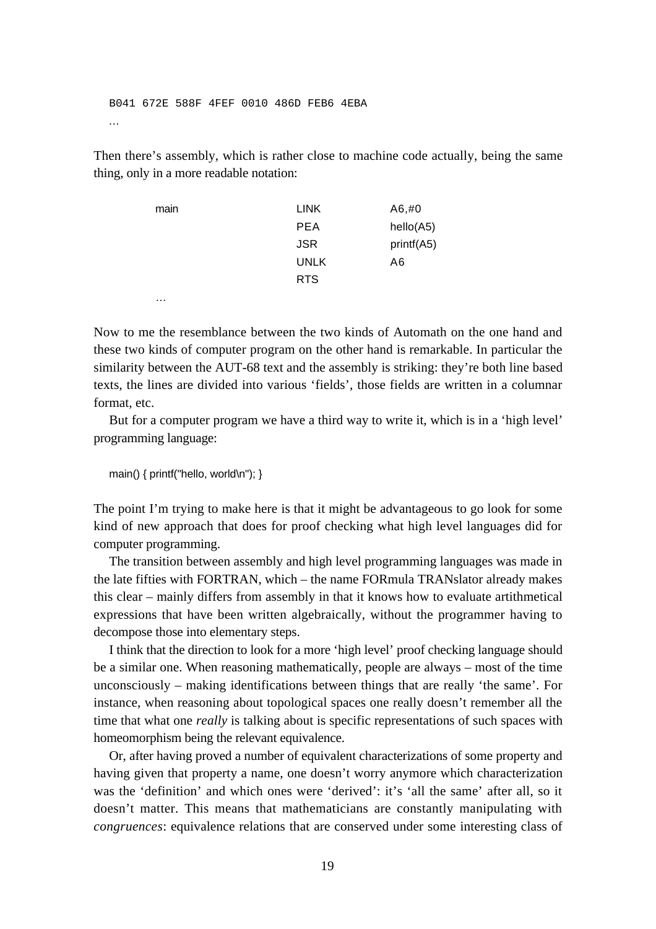B041 672E 588F 4FEF 0010 486D FEB6 4EBA ...

Then there's assembly, which is rather close to machine code actually, being the same thing, only in a more readable notation:

| main | <b>LINK</b> | A6, #0     |
|------|-------------|------------|
|      | <b>PEA</b>  | hello(A5)  |
|      | <b>JSR</b>  | printf(A5) |
|      | <b>UNLK</b> | A6         |
|      | <b>RTS</b>  |            |
| .    |             |            |

Now to me the resemblance between the two kinds of Automath on the one hand and these two kinds of computer program on the other hand is remarkable. In particular the similarity between the AUT-68 text and the assembly is striking: they're both line based texts, the lines are divided into various 'fields', those fields are written in a columnar format, etc.

But for a computer program we have a third way to write it, which is in a 'high level' programming language:

main() { printf("hello, world\n"); }

The point I'm trying to make here is that it might be advantageous to go look for some kind of new approach that does for proof checking what high level languages did for computer programming.

The transition between assembly and high level programming languages was made in the late fifties with FORTRAN, which – the name FORmula TRANslator already makes this clear – mainly differs from assembly in that it knows how to evaluate artithmetical expressions that have been written algebraically, without the programmer having to decompose those into elementary steps.

I think that the direction to look for a more 'high level' proof checking language should be a similar one. When reasoning mathematically, people are always – most of the time unconsciously – making identifications between things that are really 'the same'. For instance, when reasoning about topological spaces one really doesn't remember all the time that what one *really* is talking about is specific representations of such spaces with homeomorphism being the relevant equivalence.

Or, after having proved a number of equivalent characterizations of some property and having given that property a name, one doesn't worry anymore which characterization was the 'definition' and which ones were 'derived': it's 'all the same' after all, so it doesn't matter. This means that mathematicians are constantly manipulating with *congruences*: equivalence relations that are conserved under some interesting class of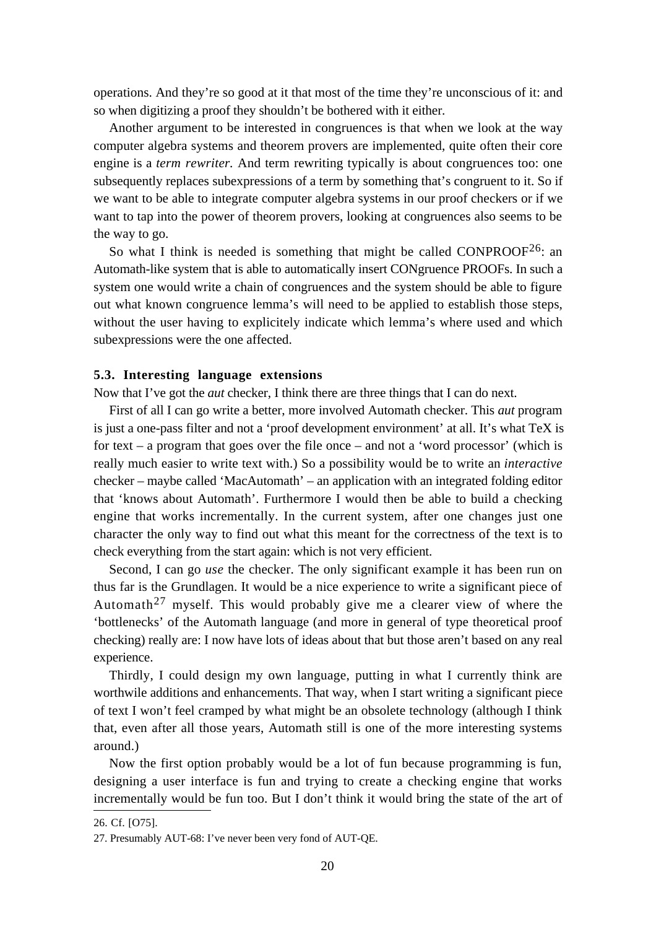operations. And they're so good at it that most of the time they're unconscious of it: and so when digitizing a proof they shouldn't be bothered with it either.

Another argument to be interested in congruences is that when we look at the way computer algebra systems and theorem provers are implemented, quite often their core engine is a *term rewriter.* And term rewriting typically is about congruences too: one subsequently replaces subexpressions of a term by something that's congruent to it. So if we want to be able to integrate computer algebra systems in our proof checkers or if we want to tap into the power of theorem provers, looking at congruences also seems to be the way to go.

So what I think is needed is something that might be called  $CONFROOF^{26}$ : an Automath-like system that is able to automatically insert CONgruence PROOFs. In such a system one would write a chain of congruences and the system should be able to figure out what known congruence lemma's will need to be applied to establish those steps, without the user having to explicitely indicate which lemma's where used and which subexpressions were the one affected.

## **5.3. Interesting language extensions**

Now that I've got the *aut* checker, I think there are three things that I can do next.

First of all I can go write a better, more involved Automath checker. This *aut* program is just a one-pass filter and not a 'proof development environment' at all. It's what TeX is for text – a program that goes over the file once – and not a 'word processor' (which is really much easier to write text with.) So a possibility would be to write an *interactive* checker – maybe called 'MacAutomath' – an application with an integrated folding editor that 'knows about Automath'. Furthermore I would then be able to build a checking engine that works incrementally. In the current system, after one changes just one character the only way to find out what this meant for the correctness of the text is to check everything from the start again: which is not very efficient.

Second, I can go *use* the checker. The only significant example it has been run on thus far is the Grundlagen. It would be a nice experience to write a significant piece of Automath<sup>27</sup> myself. This would probably give me a clearer view of where the 'bottlenecks' of the Automath language (and more in general of type theoretical proof checking) really are: I now have lots of ideas about that but those aren't based on any real experience.

Thirdly, I could design my own language, putting in what I currently think are worthwile additions and enhancements. That way, when I start writing a significant piece of text I won't feel cramped by what might be an obsolete technology (although I think that, even after all those years, Automath still is one of the more interesting systems around.)

Now the first option probably would be a lot of fun because programming is fun, designing a user interface is fun and trying to create a checking engine that works incrementally would be fun too. But I don't think it would bring the state of the art of

<sup>26.</sup> Cf. [O75].

<sup>27.</sup> Presumably AUT-68: I've never been very fond of AUT-QE.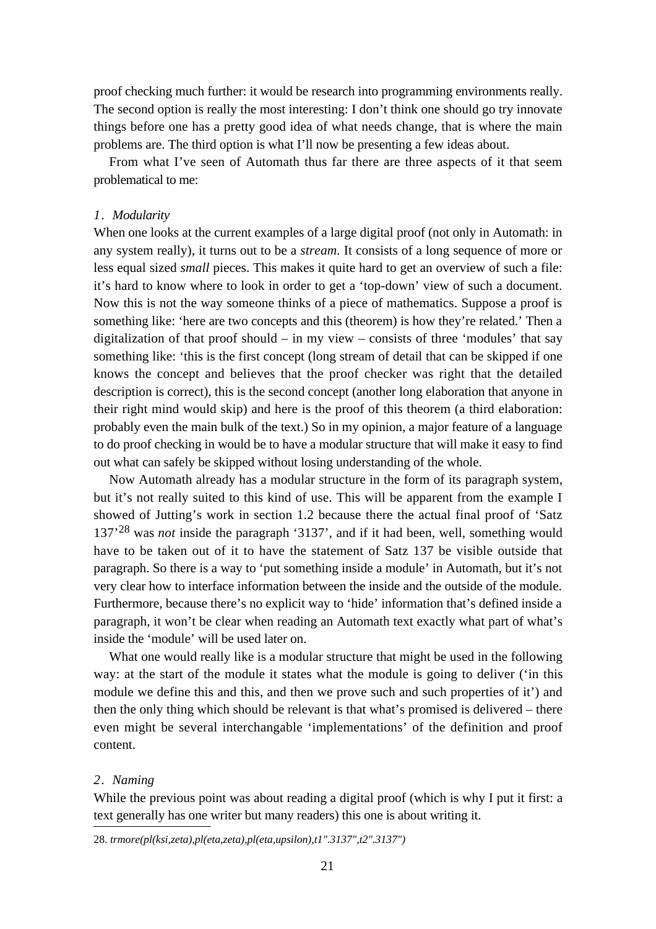proof checking much further: it would be research into programming environments really. The second option is really the most interesting: I don't think one should go try innovate things before one has a pretty good idea of what needs change, that is where the main problems are. The third option is what I'll now be presenting a few ideas about.

From what I've seen of Automath thus far there are three aspects of it that seem problematical to me:

## *1. Modularity*

When one looks at the current examples of a large digital proof (not only in Automath: in any system really), it turns out to be a *stream.* It consists of a long sequence of more or less equal sized *small* pieces. This makes it quite hard to get an overview of such a file: it's hard to know where to look in order to get a 'top-down' view of such a document. Now this is not the way someone thinks of a piece of mathematics. Suppose a proof is something like: 'here are two concepts and this (theorem) is how they're related.' Then a digitalization of that proof should – in my view – consists of three 'modules' that say something like: 'this is the first concept (long stream of detail that can be skipped if one knows the concept and believes that the proof checker was right that the detailed description is correct), this is the second concept (another long elaboration that anyone in their right mind would skip) and here is the proof of this theorem (a third elaboration: probably even the main bulk of the text.) So in my opinion, a major feature of a language to do proof checking in would be to have a modular structure that will make it easy to find out what can safely be skipped without losing understanding of the whole.

Now Automath already has a modular structure in the form of its paragraph system, but it's not really suited to this kind of use. This will be apparent from the example I showed of Jutting's work in section 1.2 because there the actual final proof of 'Satz 137'28 was *not* inside the paragraph '3137', and if it had been, well, something would have to be taken out of it to have the statement of Satz 137 be visible outside that paragraph. So there is a way to 'put something inside a module' in Automath, but it's not very clear how to interface information between the inside and the outside of the module. Furthermore, because there's no explicit way to 'hide' information that's defined inside a paragraph, it won't be clear when reading an Automath text exactly what part of what's inside the 'module' will be used later on.

What one would really like is a modular structure that might be used in the following way: at the start of the module it states what the module is going to deliver ('in this module we define this and this, and then we prove such and such properties of it') and then the only thing which should be relevant is that what's promised is delivered – there even might be several interchangable 'implementations' of the definition and proof content.

#### *2. Naming*

While the previous point was about reading a digital proof (which is why I put it first: a text generally has one writer but many readers) this one is about writing it.

28. *trmore(pl(ksi,zeta),pl(eta,zeta),pl(eta,upsilon),t1".3137",t2".3137")*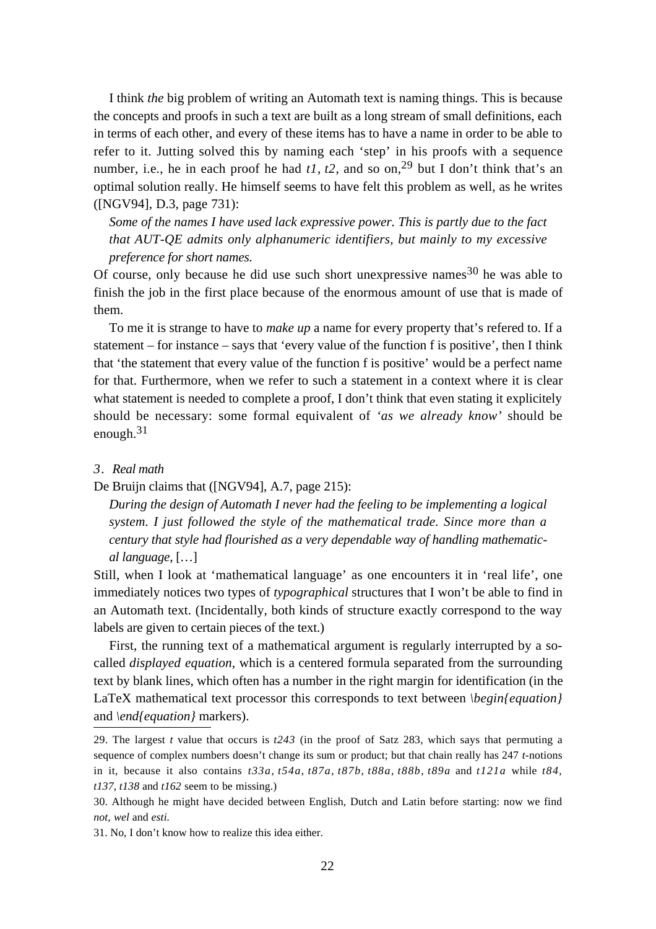I think *the* big problem of writing an Automath text is naming things. This is because the concepts and proofs in such a text are built as a long stream of small definitions, each in terms of each other, and every of these items has to have a name in order to be able to refer to it. Jutting solved this by naming each 'step' in his proofs with a sequence number, i.e., he in each proof he had  $t1$ ,  $t2$ , and so on,<sup>29</sup> but I don't think that's an optimal solution really. He himself seems to have felt this problem as well, as he writes ([NGV94], D.3, page 731):

*Some of the names I have used lack expressive power. This is partly due to the fact that AUT-QE admits only alphanumeric identifiers, but mainly to my excessive preference for short names.*

Of course, only because he did use such short unexpressive names  $30$  he was able to finish the job in the first place because of the enormous amount of use that is made of them.

To me it is strange to have to *make up* a name for every property that's refered to. If a statement – for instance – says that 'every value of the function f is positive', then I think that 'the statement that every value of the function f is positive' would be a perfect name for that. Furthermore, when we refer to such a statement in a context where it is clear what statement is needed to complete a proof, I don't think that even stating it explicitely should be necessary: some formal equivalent of *'as we already know'* should be enough. $31$ 

### *3. Real math*

De Bruijn claims that ([NGV94], A.7, page 215):

*During the design of Automath I never had the feeling to be implementing a logical system. I just followed the style of the mathematical trade. Since more than a century that style had flourished as a very dependable way of handling mathematical language,* […]

Still, when I look at 'mathematical language' as one encounters it in 'real life', one immediately notices two types of *typographical* structures that I won't be able to find in an Automath text. (Incidentally, both kinds of structure exactly correspond to the way labels are given to certain pieces of the text.)

First, the running text of a mathematical argument is regularly interrupted by a socalled *displayed equation,* which is a centered formula separated from the surrounding text by blank lines, which often has a number in the right margin for identification (in the LaTeX mathematical text processor this corresponds to text between *\begin{equation}* and *\end{equation}* markers).

<sup>29.</sup> The largest *t* value that occurs is *t243* (in the proof of Satz 283, which says that permuting a sequence of complex numbers doesn't change its sum or product; but that chain really has 247 *t*-notions in it, because it also contains *t33a*, *t54a*, *t87a*, *t87b*, *t88a*, *t88b*, *t89a* and *t121a* while *t84*, *t137*, *t138* and *t162* seem to be missing.)

<sup>30.</sup> Although he might have decided between English, Dutch and Latin before starting: now we find *not, wel* and *esti.*

<sup>31.</sup> No, I don't know how to realize this idea either.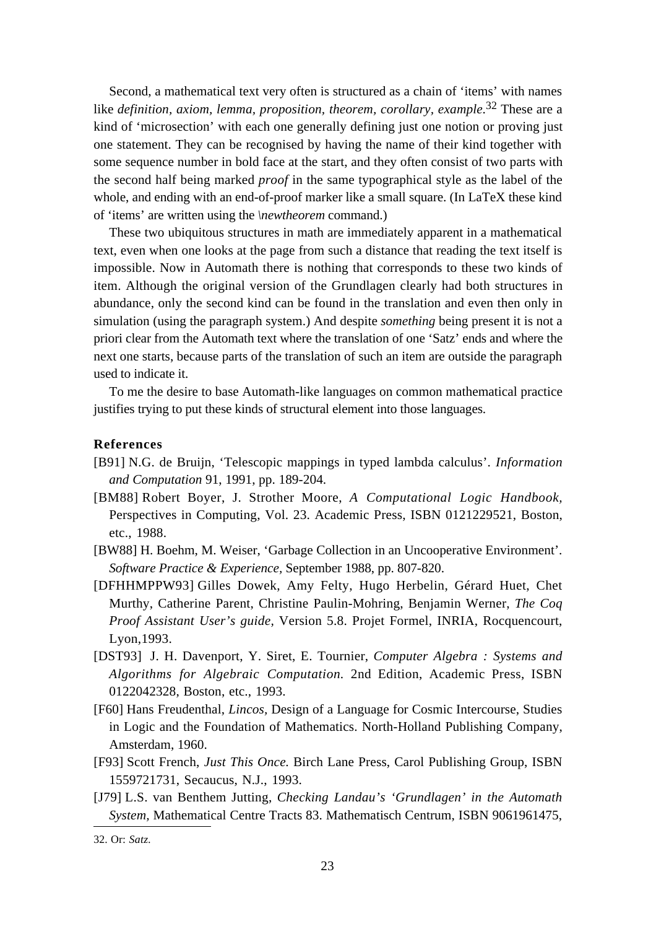Second, a mathematical text very often is structured as a chain of 'items' with names like *definition, axiom, lemma, proposition, theorem, corollary, example.*32 These are a kind of 'microsection' with each one generally defining just one notion or proving just one statement. They can be recognised by having the name of their kind together with some sequence number in bold face at the start, and they often consist of two parts with the second half being marked *proof* in the same typographical style as the label of the whole, and ending with an end-of-proof marker like a small square. (In LaTeX these kind of 'items' are written using the *\newtheorem* command.)

These two ubiquitous structures in math are immediately apparent in a mathematical text, even when one looks at the page from such a distance that reading the text itself is impossible. Now in Automath there is nothing that corresponds to these two kinds of item. Although the original version of the Grundlagen clearly had both structures in abundance, only the second kind can be found in the translation and even then only in simulation (using the paragraph system.) And despite *something* being present it is not a priori clear from the Automath text where the translation of one 'Satz' ends and where the next one starts, because parts of the translation of such an item are outside the paragraph used to indicate it.

To me the desire to base Automath-like languages on common mathematical practice justifies trying to put these kinds of structural element into those languages.

### **References**

- [B91] N.G. de Bruijn, 'Telescopic mappings in typed lambda calculus'. *Information and Computation* 91, 1991, pp. 189-204.
- [BM88] Robert Boyer, J. Strother Moore, *A Computational Logic Handbook,* Perspectives in Computing, Vol. 23. Academic Press, ISBN 0121229521, Boston, etc., 1988.
- [BW88] H. Boehm, M. Weiser, 'Garbage Collection in an Uncooperative Environment'. *Software Practice & Experience,* September 1988, pp. 807-820.
- [DFHHMPPW93] Gilles Dowek, Amy Felty, Hugo Herbelin, Gérard Huet, Chet Murthy, Catherine Parent, Christine Paulin-Mohring, Benjamin Werner, *The Coq Proof Assistant User's guide,* Version 5.8. Projet Formel, INRIA, Rocquencourt, Lyon,1993.
- [DST93] J. H. Davenport, Y. Siret, E. Tournier, *Computer Algebra : Systems and Algorithms for Algebraic Computation.* 2nd Edition, Academic Press, ISBN 0122042328, Boston, etc., 1993.
- [F60] Hans Freudenthal, *Lincos,* Design of a Language for Cosmic Intercourse, Studies in Logic and the Foundation of Mathematics. North-Holland Publishing Company, Amsterdam, 1960.
- [F93] Scott French, *Just This Once.* Birch Lane Press, Carol Publishing Group, ISBN 1559721731, Secaucus, N.J., 1993.
- [J79] L.S. van Benthem Jutting, *Checking Landau's 'Grundlagen' in the Automath System,* Mathematical Centre Tracts 83. Mathematisch Centrum, ISBN 9061961475,

<sup>32.</sup> Or: *Satz.*